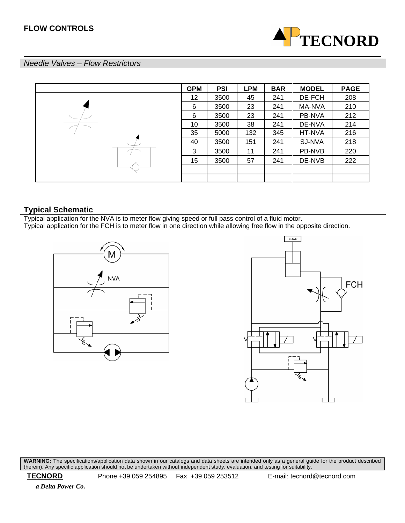

### *Needle Valves – Flow Restrictors*

| <b>GPM</b> | <b>PSI</b> | <b>LPM</b> | <b>BAR</b> | <b>MODEL</b> | <b>PAGE</b> |
|------------|------------|------------|------------|--------------|-------------|
| 12         | 3500       | 45         | 241        | DE-FCH       | 208         |
| 6          | 3500       | 23         | 241        | MA-NVA       | 210         |
| 6          | 3500       | 23         | 241        | PB-NVA       | 212         |
| 10         | 3500       | 38         | 241        | DE-NVA       | 214         |
| 35         | 5000       | 132        | 345        | HT-NVA       | 216         |
| 40         | 3500       | 151        | 241        | SJ-NVA       | 218         |
| 3          | 3500       | 11         | 241        | PB-NVB       | 220         |
| 15         | 3500       | 57         | 241        | DE-NVB       | 222         |
|            |            |            |            |              |             |
|            |            |            |            |              |             |

### **Typical Schematic**

Typical application for the NVA is to meter flow giving speed or full pass control of a fluid motor.

Typical application for the FCH is to meter flow in one direction while allowing free flow in the opposite direction.





**WARNING:** The specifications/application data shown in our catalogs and data sheets are intended only as a general guide for the product described (herein). Any specific application should not be undertaken without independent study, evaluation, and testing for suitability.

 **TECNORD** Phone +39 059 254895 Fax +39 059 253512 E-mail: tecnord@tecnord.com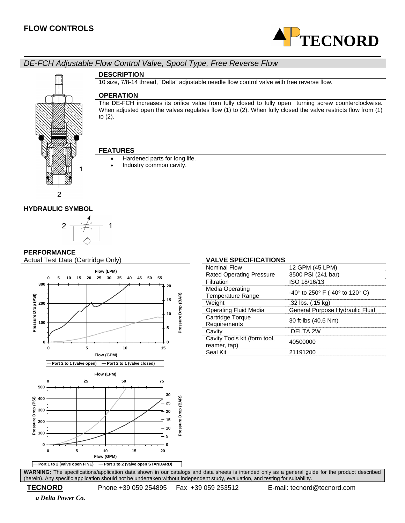

# *DE-FCH Adjustable Flow Control Valve, Spool Type, Free Reverse Flow*



### **DESCRIPTION**

10 size, 7/8-14 thread, "Delta" adjustable needle flow control valve with free reverse flow.

### **OPERATION**

The DE-FCH increases its orifice value from fully closed to fully open turning screw counterclockwise. When adjusted open the valves regulates flow (1) to (2). When fully closed the valve restricts flow from (1) to (2).

### **FEATURES**

- Hardened parts for long life.
- Industry common cavity.

### **HYDRAULIC SYMBOL**



### **PERFORMANCE**

Actual Test Data (Cartridge Only) **VALVE SPECIFICATIONS** 



| ALIL VI LUII IUATIVIII                       |                                          |
|----------------------------------------------|------------------------------------------|
| Nominal Flow                                 | 12 GPM (45 LPM)                          |
| <b>Rated Operating Pressure</b>              | 3500 PSI (241 bar)                       |
| Filtration                                   | ISO 18/16/13                             |
| Media Operating<br><b>Temperature Range</b>  | $-40^{\circ}$ to 250° F (-40° to 120° C) |
| Weight                                       | .32 lbs. (.15 kg)                        |
| <b>Operating Fluid Media</b>                 | General Purpose Hydraulic Fluid          |
| Cartridge Torque<br>Requirements             | 30 ft-lbs (40.6 Nm)                      |
| Cavity                                       | DEI TA 2W                                |
| Cavity Tools kit (form tool,<br>reamer, tap) | 40500000                                 |
| Seal Kit                                     | 21191200                                 |
|                                              |                                          |

**WARNING:** The specifications/application data shown in our catalogs and data sheets is intended only as a general guide for the product described (herein). Any specific application should not be undertaken without independent study, evaluation, and testing for suitability.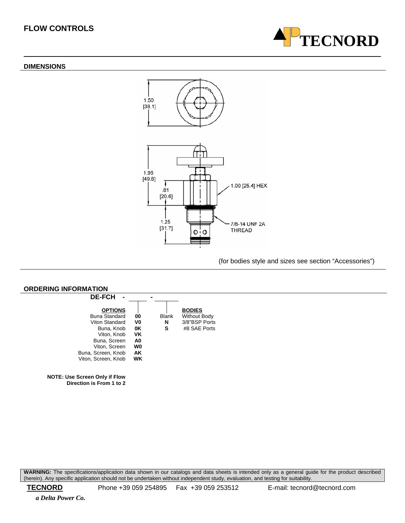### **DIMENSIONS**





(for bodies style and sizes see section "Accessories")



**WARNING:** The specifications/application data shown in our catalogs and data sheets is intended only as a general guide for the product described (herein). Any specific application should not be undertaken without independent study, evaluation, and testing for suitability.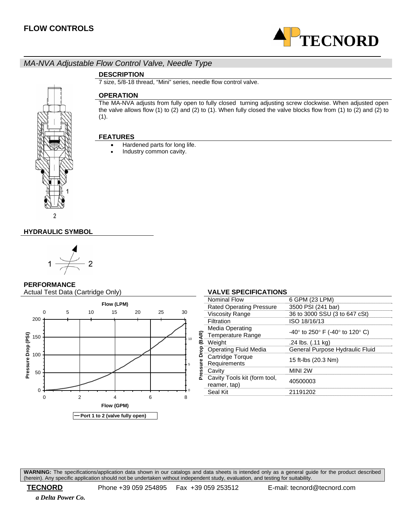

# *MA-NVA Adjustable Flow Control Valve, Needle Type*

### **DESCRIPTION**

7 size, 5/8-18 thread, "Mini" series, needle flow control valve.

### **OPERATION**

The MA-NVA adjusts from fully open to fully closed turning adjusting screw clockwise. When adjusted open the valve allows flow (1) to (2) and (2) to (1). When fully closed the valve blocks flow from (1) to (2) and (2) to (1).

### **FEATURES**

- Hardened parts for long life.
- Industry common cavity.



### **HYDRAULIC SYMBOL**



### **PERFORMANCE**

Actual Test Data (Cartridge Only) **VALVE SPECIFICATIONS** 



|                              | ALTE OF LON 19A HONO                         |                                 |  |
|------------------------------|----------------------------------------------|---------------------------------|--|
|                              | Nominal Flow                                 | 6 GPM (23 LPM)                  |  |
|                              | <b>Rated Operating Pressure</b>              | 3500 PSI (241 bar)              |  |
| QR)<br>بم<br>Drop<br>Pressur | <b>Viscosity Range</b>                       | 36 to 3000 SSU (3 to 647 cSt)   |  |
|                              | Filtration                                   | ISO 18/16/13                    |  |
|                              | Media Operating<br><b>Temperature Range</b>  | -40° to 250° F (-40° to 120° C) |  |
|                              | Weight                                       | .24 lbs. (.11 kg)               |  |
|                              | <b>Operating Fluid Media</b>                 | General Purpose Hydraulic Fluid |  |
|                              | Cartridge Torque<br>Requirements             | 15 ft-lbs (20.3 Nm)             |  |
|                              | Cavity                                       | MINI 2W                         |  |
|                              | Cavity Tools kit (form tool,<br>reamer, tap) | 40500003                        |  |
|                              | Seal Kit                                     | 21191202                        |  |
|                              |                                              |                                 |  |

**WARNING:** The specifications/application data shown in our catalogs and data sheets is intended only as a general guide for the product described (herein). Any specific application should not be undertaken without independent study, evaluation, and testing for suitability.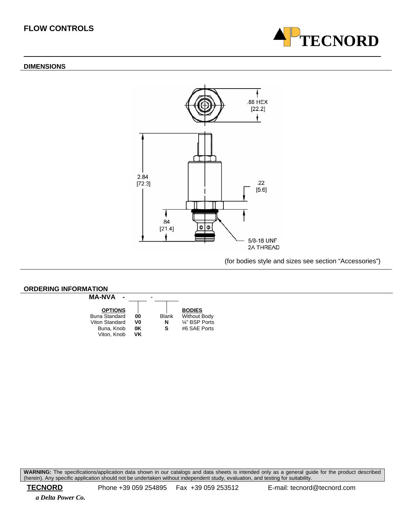### **DIMENSIONS**



(for bodies style and sizes see section "Accessories")

**TECNORD**



**WARNING:** The specifications/application data shown in our catalogs and data sheets is intended only as a general guide for the product described (herein). Any specific application should not be undertaken without independent study, evaluation, and testing for suitability.

 **TECNORD** Phone +39 059 254895 Fax +39 059 253512 E-mail: tecnord@tecnord.com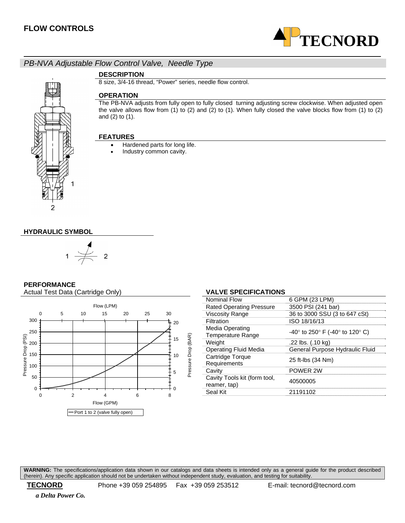

## *PB-NVA Adjustable Flow Control Valve, Needle Type*



### **DESCRIPTION**

8 size, 3/4-16 thread, "Power" series, needle flow control.

### **OPERATION**

The PB-NVA adjusts from fully open to fully closed turning adjusting screw clockwise. When adjusted open the valve allows flow from (1) to (2) and (2) to (1). When fully closed the valve blocks flow from (1) to (2) and (2) to (1).

### **FEATURES**

- Hardened parts for long life.
- Industry common cavity.

### **HYDRAULIC SYMBOL**



### **PERFORMANCE**

Actual Test Data (Cartridge Only) **VALVE SPECIFICATIONS** 



| Nominal Flow                                       | 6 GPM (23 LPM)                  |
|----------------------------------------------------|---------------------------------|
| <b>Rated Operating Pressure</b>                    | 3500 PSI (241 bar)              |
| <b>Viscosity Range</b>                             | 36 to 3000 SSU (3 to 647 cSt)   |
| Filtration                                         | ISO 18/16/13                    |
| <b>Media Operating</b><br><b>Temperature Range</b> | -40° to 250° F (-40° to 120° C) |
| Weight                                             | .22 lbs. (.10 kg)               |
| Operating Fluid Media                              | General Purpose Hydraulic Fluid |
| Cartridge Torque<br>Requirements                   | 25 ft-lbs (34 Nm)               |
| Cavity                                             | POWER 2W                        |
| Cavity Tools kit (form tool,<br>reamer, tap)       | 40500005                        |
| Seal Kit                                           | 21191102                        |
|                                                    |                                 |

**WARNING:** The specifications/application data shown in our catalogs and data sheets is intended only as a general guide for the product described (herein). Any specific application should not be undertaken without independent study, evaluation, and testing for suitability.

 **TECNORD** Phone +39 059 254895 Fax +39 059 253512 E-mail: tecnord@tecnord.com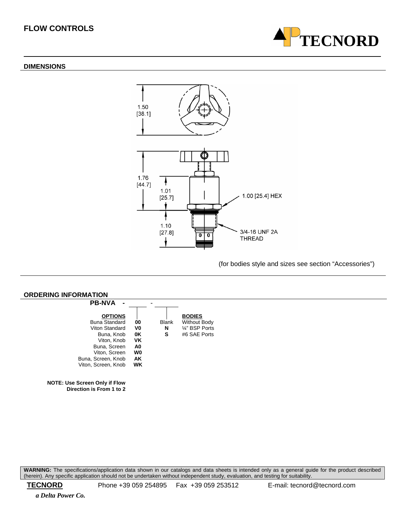### **DIMENSIONS**





(for bodies style and sizes see section "Accessories")



**WARNING:** The specifications/application data shown in our catalogs and data sheets is intended only as a general guide for the product described (herein). Any specific application should not be undertaken without independent study, evaluation, and testing for suitability.

 **TECNORD** Phone +39 059 254895 Fax +39 059 253512 E-mail: tecnord@tecnord.com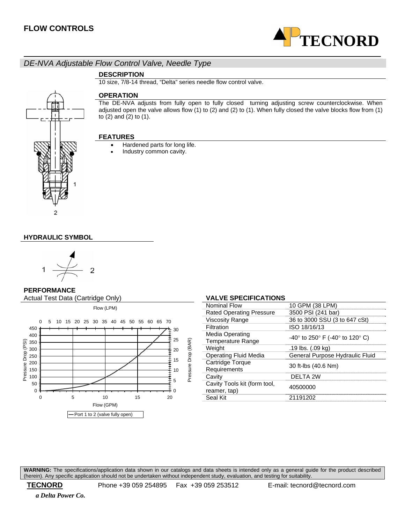

# *DE-NVA Adjustable Flow Control Valve, Needle Type*

### **DESCRIPTION**

10 size, 7/8-14 thread, "Delta" series needle flow control valve.



### **OPERATION**

The DE-NVA adjusts from fully open to fully closed turning adjusting screw counterclockwise. When adjusted open the valve allows flow (1) to (2) and (2) to (1). When fully closed the valve blocks flow from (1) to (2) and (2) to (1).

### **FEATURES**

- Hardened parts for long life.
- Industry common cavity.

### **HYDRAULIC SYMBOL**



**PERFORMANCE Actual Test Data (Cartridge Only)** 



| <b>VALVE SPECIFICATIONS</b>              |
|------------------------------------------|
| 10 GPM (38 LPM)                          |
| 3500 PSI (241 bar)                       |
| 36 to 3000 SSU (3 to 647 cSt)            |
| ISO 18/16/13                             |
| $-40^{\circ}$ to 250° F (-40° to 120° C) |
| .19 lbs. (.09 kg)                        |
| General Purpose Hydraulic Fluid          |
| 30 ft-lbs (40.6 Nm)                      |
| DELTA 2W                                 |
| 40500000                                 |
| 21191202                                 |
|                                          |

**WARNING:** The specifications/application data shown in our catalogs and data sheets is intended only as a general guide for the product described (herein). Any specific application should not be undertaken without independent study, evaluation, and testing for suitability.

 **TECNORD** Phone +39 059 254895 Fax +39 059 253512 E-mail: tecnord@tecnord.com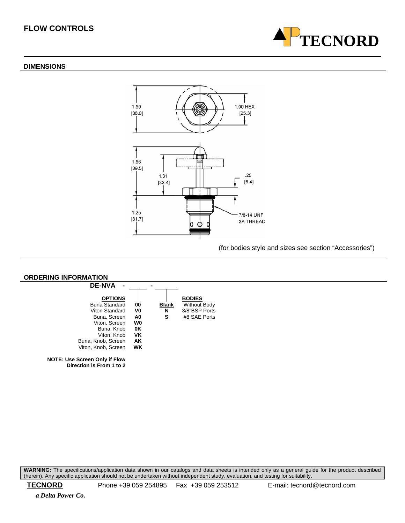### **DIMENSIONS**



(for bodies style and sizes see section "Accessories")

**TECNORD**



**WARNING:** The specifications/application data shown in our catalogs and data sheets is intended only as a general guide for the product described (herein). Any specific application should not be undertaken without independent study, evaluation, and testing for suitability.

 **TECNORD** Phone +39 059 254895 Fax +39 059 253512 E-mail: tecnord@tecnord.com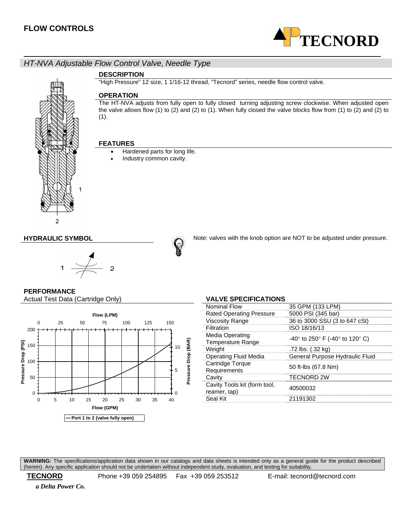

# *HT-NVA Adjustable Flow Control Valve, Needle Type*



### **DESCRIPTION**

"High Pressure" 12 size, 1 1/16-12 thread, "Tecnord" series, needle flow control valve.

### **OPERATION**

The HT-NVA adjusts from fully open to fully closed turning adjusting screw clockwise. When adjusted open the valve allows flow (1) to (2) and (2) to (1). When fully closed the valve blocks flow from (1) to (2) and (2) to (1).

### **FEATURES**

- Hardened parts for long life.
- Industry common cavity.



**HYDRAULIC SYMBOL Note:** valves with the knob option are NOT to be adjusted under pressure.

### **PERFORMANCE**

Actual Test Data (Cartridge Only) **VALVE SPECIFICATIONS** 



| <b>Nominal Flow</b>                          | 35 GPM (133 LPM)                |
|----------------------------------------------|---------------------------------|
| <b>Rated Operating Pressure</b>              | 5000 PSI (345 bar)              |
| <b>Viscosity Range</b>                       | 36 to 3000 SSU (3 to 647 cSt)   |
| Filtration                                   | ISO 18/16/13                    |
| Media Operating<br><b>Temperature Range</b>  | -40° to 250° F (-40° to 120° C) |
| Weight                                       | .72 lbs. (.32 kg)               |
| Operating Fluid Media                        | General Purpose Hydraulic Fluid |
| Cartridge Torque<br>Requirements             | 50 ft-lbs (67.8 Nm)             |
| Cavity                                       | TECNORD 2W                      |
| Cavity Tools kit (form tool,<br>reamer, tap) | 40500032                        |
| Seal Kit                                     | 21191302                        |

**WARNING:** The specifications/application data shown in our catalogs and data sheets is intended only as a general guide for the product described (herein). Any specific application should not be undertaken without independent study, evaluation, and testing for suitability.

 **TECNORD** Phone +39 059 254895 Fax +39 059 253512 E-mail: tecnord@tecnord.com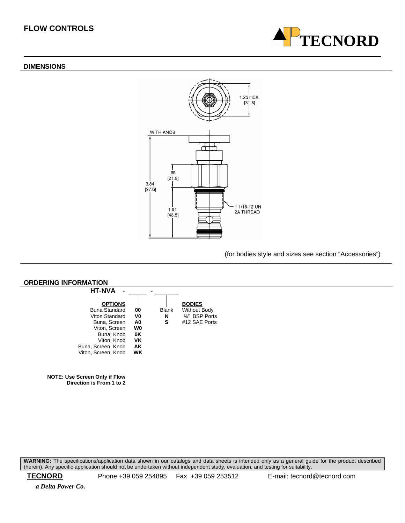# **TECNORD**

### **DIMENSIONS**



### (for bodies style and sizes see section "Accessories")



**WARNING:** The specifications/application data shown in our catalogs and data sheets is intended only as a general guide for the product described (herein). Any specific application should not be undertaken without independent study, evaluation, and testing for suitability.

 **TECNORD** Phone +39 059 254895 Fax +39 059 253512 E-mail: tecnord@tecnord.com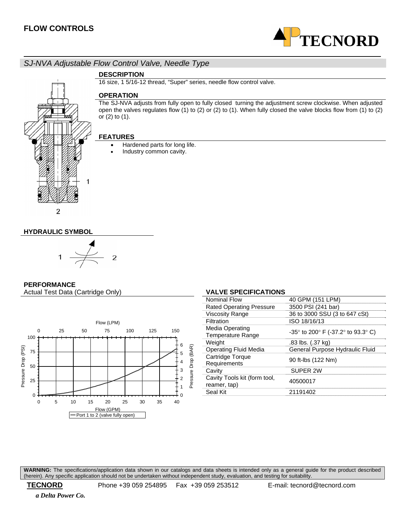

# *SJ-NVA Adjustable Flow Control Valve, Needle Type*

# $\overline{c}$

# **DESCRIPTION**

16 size, 1 5/16-12 thread, "Super" series, needle flow control valve.

### **OPERATION**

The SJ-NVA adjusts from fully open to fully closed turning the adjustment screw clockwise. When adjusted open the valves regulates flow  $(1)$  to  $(2)$  or  $(2)$  to  $(1)$ . When fully closed the valve blocks flow from  $(1)$  to  $(2)$ or (2) to (1).

### **FEATURES**

- Hardened parts for long life.
- Industry common cavity.

### **HYDRAULIC SYMBOL**



### **PERFORMANCE**

Actual Test Data (Cartridge Only) **VALVE SPECIFICATIONS** 



| <b>Nominal Flow</b>                          | 40 GPM (151 LPM)                                                       |
|----------------------------------------------|------------------------------------------------------------------------|
| <b>Rated Operating Pressure</b>              | 3500 PSI (241 bar)                                                     |
| <b>Viscosity Range</b>                       | 36 to 3000 SSU (3 to 647 cSt)                                          |
| Filtration                                   | ISO 18/16/13                                                           |
| Media Operating<br><b>Temperature Range</b>  | -35 $\degree$ to 200 $\degree$ F (-37.2 $\degree$ to 93.3 $\degree$ C) |
| Weight                                       | .83 lbs. (.37 kg)                                                      |
| <b>Operating Fluid Media</b>                 | General Purpose Hydraulic Fluid                                        |
| Cartridge Torque<br>Requirements             | 90 ft-lbs (122 Nm)                                                     |
| Cavity                                       | SUPER 2W                                                               |
| Cavity Tools kit (form tool,<br>reamer, tap) | 40500017                                                               |
| Seal Kit                                     | 21191402                                                               |
|                                              |                                                                        |

**WARNING:** The specifications/application data shown in our catalogs and data sheets is intended only as a general guide for the product described (herein). Any specific application should not be undertaken without independent study, evaluation, and testing for suitability.

 **TECNORD** Phone +39 059 254895 Fax +39 059 253512 E-mail: tecnord@tecnord.com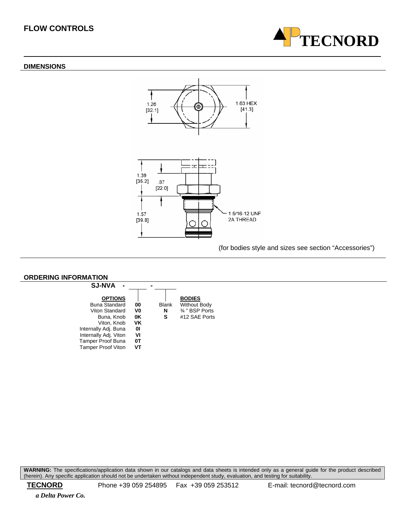### **DIMENSIONS**



(for bodies style and sizes see section "Accessories")

**TECNORD**



**WARNING:** The specifications/application data shown in our catalogs and data sheets is intended only as a general guide for the product described (herein). Any specific application should not be undertaken without independent study, evaluation, and testing for suitability.

 **TECNORD** Phone +39 059 254895 Fax +39 059 253512 E-mail: tecnord@tecnord.com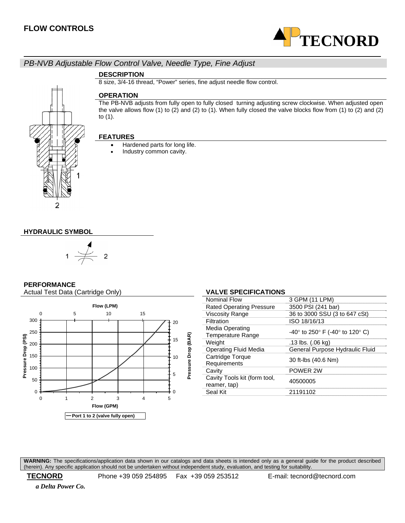

## *PB-NVB Adjustable Flow Control Valve, Needle Type, Fine Adjust*

### **DESCRIPTION**

8 size, 3/4-16 thread, "Power" series, fine adjust needle flow control.

# 2

### **OPERATION**

The PB-NVB adjusts from fully open to fully closed turning adjusting screw clockwise. When adjusted open the valve allows flow (1) to (2) and (2) to (1). When fully closed the valve blocks flow from (1) to (2) and (2) to (1).

### **FEATURES**

- Hardened parts for long life.
- Industry common cavity.

### **HYDRAULIC SYMBOL**



### **PERFORMANCE**

Actual Test Data (Cartridge Only) **VALVE SPECIFICATIONS** 



| <b>Nominal Flow</b>                          | 3 GPM (11 LPM)                           |
|----------------------------------------------|------------------------------------------|
| <b>Rated Operating Pressure</b>              | 3500 PSI (241 bar)                       |
| <b>Viscosity Range</b>                       | 36 to 3000 SSU (3 to 647 cSt)            |
| Filtration                                   | ISO 18/16/13                             |
| Media Operating<br><b>Temperature Range</b>  | $-40^{\circ}$ to 250° F (-40° to 120° C) |
| Weight                                       | .13 lbs. (.06 kg)                        |
| Operating Fluid Media                        | General Purpose Hydraulic Fluid          |
| Cartridge Torque<br>Requirements             | 30 ft-lbs (40.6 Nm)                      |
| Cavity                                       | POWER 2W                                 |
| Cavity Tools kit (form tool,<br>reamer, tap) | 40500005                                 |
| Seal Kit                                     | 21191102                                 |
|                                              |                                          |

**WARNING:** The specifications/application data shown in our catalogs and data sheets is intended only as a general guide for the product described (herein). Any specific application should not be undertaken without independent study, evaluation, and testing for suitability.

 **TECNORD** Phone +39 059 254895 Fax +39 059 253512 E-mail: tecnord@tecnord.com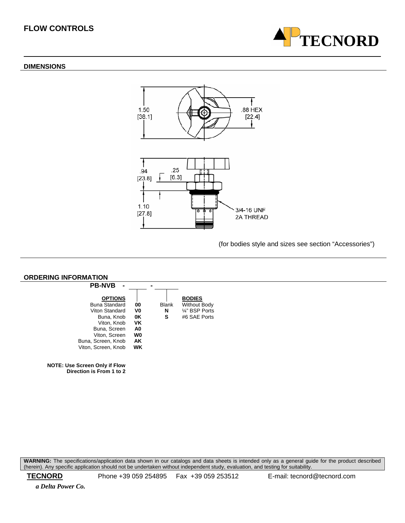### **DIMENSIONS**



(for bodies style and sizes see section "Accessories")

**TECNORD**



**WARNING:** The specifications/application data shown in our catalogs and data sheets is intended only as a general guide for the product described (herein). Any specific application should not be undertaken without independent study, evaluation, and testing for suitability.

 **TECNORD** Phone +39 059 254895 Fax +39 059 253512 E-mail: tecnord@tecnord.com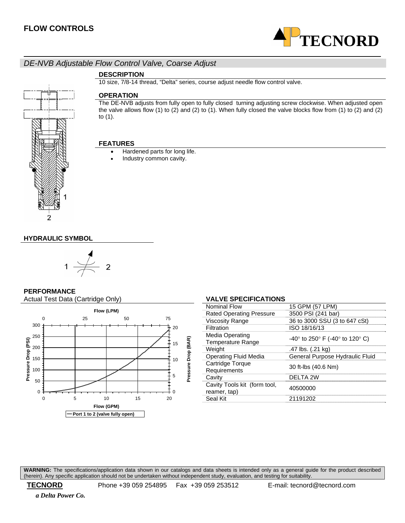

### *DE-NVB Adjustable Flow Control Valve, Coarse Adjust*

### **DESCRIPTION**

10 size, 7/8-14 thread, "Delta" series, course adjust needle flow control valve.

### **OPERATION**

The DE-NVB adjusts from fully open to fully closed turning adjusting screw clockwise. When adjusted open the valve allows flow (1) to (2) and (2) to (1). When fully closed the valve blocks flow from (1) to (2) and (2) to (1).

### **FEATURES**

- Hardened parts for long life.
- Industry common cavity.

### **HYDRAULIC SYMBOL**



### **PERFORMANCE**

Actual Test Data (Cartridge Only) **VALVE SPECIFICATIONS** 



### Nominal Flow 15 GPM (57 LPM) Rated Operating Pressure 3500 PSI (241 bar) Viscosity Range 36 to 3000 SSU (3 to 647 cSt) Filtration ISO 18/16/13 Media Operating<br>Temperature Range Media Operating<br>Temperature Range -40° to 250° F (-40° to 120° C)<br>Weight -47 lbs. (.21 kg)  $\frac{1}{47}$  lbs. (.21 kg) Operating Fluid Media General Purpose Hydraulic Fluid Cartridge Torque<br>Requirements 30 ft-lbs (40.6 Nm) Cavity DELTA 2W Cavity Tools kit (form tool, Cavity Tools Kit (form tool,  $40500000$ <br>reamer, tap) Seal Kit 21191202

**WARNING:** The specifications/application data shown in our catalogs and data sheets is intended only as a general guide for the product described (herein). Any specific application should not be undertaken without independent study, evaluation, and testing for suitability.

 **TECNORD** Phone +39 059 254895 Fax +39 059 253512 E-mail: tecnord@tecnord.com